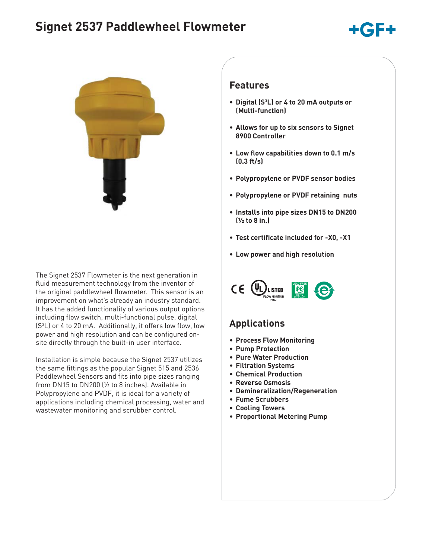# **Signet 2537 Paddlewheel Flowmeter**





The Signet 2537 Flowmeter is the next generation in fluid measurement technology from the inventor of the original paddlewheel flowmeter. This sensor is an improvement on what's already an industry standard. It has the added functionality of various output options including flow switch, multi-functional pulse, digital (S3 L) or 4 to 20 mA. Additionally, it offers low flow, low power and high resolution and can be configured onsite directly through the built-in user interface.

Installation is simple because the Signet 2537 utilizes the same fittings as the popular Signet 515 and 2536 Paddlewheel Sensors and fits into pipe sizes ranging from DN15 to DN200 (½ to 8 inches). Available in Polypropylene and PVDF, it is ideal for a variety of applications including chemical processing, water and wastewater monitoring and scrubber control.

### **Features**

- **Digital (S3 L) or 4 to 20 mA outputs or (Multi-function)**
- **Allows for up to six sensors to Signet 8900 Controller**
- **Low flow capabilities down to 0.1 m/s (0.3 ft/s)**
- **Polypropylene or PVDF sensor bodies**
- **Polypropylene or PVDF retaining nuts**
- **Installs into pipe sizes DN15 to DN200 (½ to 8 in.)**
- **Test certificate included for -X0, -X1**
- **Low power and high resolution**



## **Applications**

- **Process Flow Monitoring**
- **Pump Protection**
- **Pure Water Production**
- **Filtration Systems**
- **Chemical Production**
- **Reverse Osmosis**
- **Demineralization/Regeneration**
- **Fume Scrubbers**
- **Cooling Towers**
- **Proportional Metering Pump**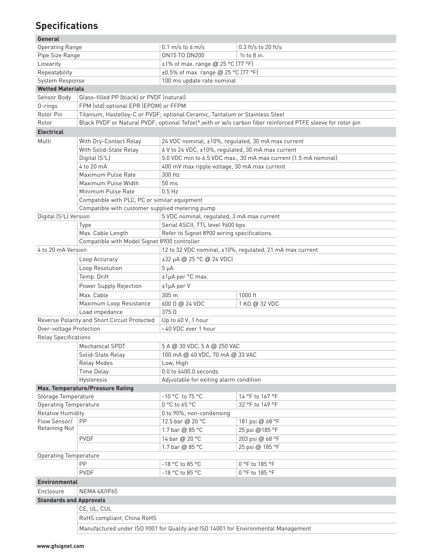# **Specifications**

#### **General**

| vener at                                     |                                                                                                             |                                                                              |                                            |  |  |  |
|----------------------------------------------|-------------------------------------------------------------------------------------------------------------|------------------------------------------------------------------------------|--------------------------------------------|--|--|--|
| <b>Operating Range</b>                       |                                                                                                             | $0.1 \text{ m/s}$ to 6 m/s                                                   | $0.3$ ft/s to 20 ft/s                      |  |  |  |
| Pipe Size Range                              |                                                                                                             | DN15 TO DN200                                                                | $\frac{1}{2}$ to 8 in.                     |  |  |  |
| Linearity                                    |                                                                                                             | ±1% of max. range @ 25 °C (77 °F)                                            |                                            |  |  |  |
| Repeatability                                |                                                                                                             | ±0.5% of max. range @ 25 °C (77 °F)                                          |                                            |  |  |  |
| System Response                              |                                                                                                             | 100 ms update rate nominal                                                   |                                            |  |  |  |
| <b>Wetted Materials</b>                      |                                                                                                             |                                                                              |                                            |  |  |  |
| Sensor Body                                  | Glass-filled PP (black) or PVDF (natural)                                                                   |                                                                              |                                            |  |  |  |
| 0-rings                                      | FPM (std) optional EPR (EPDM) or FFPM                                                                       |                                                                              |                                            |  |  |  |
| Rotor Pin                                    |                                                                                                             | Titanium, Hastelloy-C or PVDF; optional Ceramic, Tantalum or Stainless Steel |                                            |  |  |  |
| Rotor                                        | Black PVDF or Natural PVDF; optional Tefzel®, with or w/o carbon fiber reinforced PTFE sleeve for rotor pin |                                                                              |                                            |  |  |  |
| <b>Electrical</b>                            |                                                                                                             |                                                                              |                                            |  |  |  |
| Multi                                        | With Dry-Contact Relay                                                                                      | 24 VDC nominal, ±10%, regulated, 30 mA max current                           |                                            |  |  |  |
|                                              | With Solid-State Relay                                                                                      | 6 V to 24 VDC, ±10%, regulated, 30 mA max current                            |                                            |  |  |  |
|                                              | Digital (S <sup>3</sup> L)                                                                                  | 5.0 VDC min to 6.5 VDC max., 30 mA max current (1.5 mA nominal)              |                                            |  |  |  |
|                                              | 4 to 20 mA                                                                                                  | 400 mV max ripple voltage, 30 mA max current                                 |                                            |  |  |  |
|                                              | Maximum Pulse Rate                                                                                          | 300 Hz                                                                       |                                            |  |  |  |
|                                              | Maximum Pulse Width                                                                                         | 50 <sub>ms</sub>                                                             |                                            |  |  |  |
|                                              | Minimum Pulse Rate                                                                                          | $0.5$ Hz                                                                     |                                            |  |  |  |
|                                              | Compatible with PLC, PC or similar equipment                                                                |                                                                              |                                            |  |  |  |
|                                              | Compatible with customer supplied metering pump                                                             |                                                                              |                                            |  |  |  |
| Digital (S <sup>3</sup> L) Version           |                                                                                                             |                                                                              | 5 VDC nominal, regulated, 3 mA max current |  |  |  |
|                                              | Type                                                                                                        | Serial ASCII, TTL level 9600 bps                                             |                                            |  |  |  |
|                                              | Max. Cable Length                                                                                           | Refer to Signet 8900 wiring specifications.                                  |                                            |  |  |  |
|                                              | Compatible with Model Signet 8900 controller                                                                |                                                                              |                                            |  |  |  |
| 4 to 20 mA Version                           |                                                                                                             | 12 to 32 VDC nominal, ±10%, regulated, 21 mA max current                     |                                            |  |  |  |
|                                              | Loop Accuracy                                                                                               | ±32 µA @ 25 °C @ 24 VDC)                                                     |                                            |  |  |  |
|                                              | Loop Resolution                                                                                             | $5 \mu A$                                                                    |                                            |  |  |  |
|                                              | Temp. Drift                                                                                                 | ±1µA per °C max.                                                             |                                            |  |  |  |
|                                              | Power Supply Rejection                                                                                      | $±1\mu A$ per V                                                              |                                            |  |  |  |
|                                              | Max. Cable                                                                                                  | 305 m                                                                        | 1000 ft                                    |  |  |  |
|                                              | Maximum Loop Resistance                                                                                     | 600 Ω @ 24 VDC                                                               | 1 KQ @ 32 VDC                              |  |  |  |
|                                              | Load impedance                                                                                              | $375 \Omega$                                                                 |                                            |  |  |  |
| Reverse Polarity and Short Circuit Protected |                                                                                                             | Up to 40 V, 1 hour                                                           |                                            |  |  |  |
| Over-voltage Protection                      |                                                                                                             | > 40 VDC over 1 hour                                                         |                                            |  |  |  |
| <b>Relay Specifications</b>                  |                                                                                                             |                                                                              |                                            |  |  |  |
|                                              | Mechanical SPDT                                                                                             | 5 A @ 30 VDC, 5 A @ 250 VAC                                                  |                                            |  |  |  |
|                                              | Solid-State Relay                                                                                           | 100 mA @ 40 VDC, 70 mA @ 33 VAC                                              |                                            |  |  |  |
|                                              | <b>Relay Modes</b>                                                                                          | Low, High                                                                    |                                            |  |  |  |
|                                              | <b>Time Delay</b>                                                                                           | 0.0 to 6400.0 seconds                                                        |                                            |  |  |  |
|                                              | Hysteresis                                                                                                  | Adjustable for exiting alarm condition                                       |                                            |  |  |  |
|                                              | Max. Temperature/Pressure Rating                                                                            |                                                                              |                                            |  |  |  |
| Storage Temperature                          |                                                                                                             | -10 °C to 75 °C                                                              | 14 °F to 167 °F                            |  |  |  |
| <b>Operating Temperature</b>                 |                                                                                                             | 0 °C to 65 °C                                                                | 32 °F to 149 °F                            |  |  |  |
| <b>Relative Humidity</b>                     |                                                                                                             | 0 to 90%, non-condensing                                                     |                                            |  |  |  |
| Flow Sensor/                                 | <b>PP</b>                                                                                                   | 12.5 bar @ 20 °C                                                             | 181 psi @ 68 °F                            |  |  |  |
| Retaining Nut                                |                                                                                                             | 1.7 bar @ 85 °C                                                              | 25 psi @185 °F                             |  |  |  |
|                                              | <b>PVDF</b>                                                                                                 | 14 bar @ 20 °C                                                               | 203 psi @ 68 °F                            |  |  |  |
|                                              |                                                                                                             | 1.7 bar @ 85 °C                                                              | 25 psi @ 185 °F                            |  |  |  |
| <b>Operating Temperature</b>                 |                                                                                                             |                                                                              |                                            |  |  |  |
|                                              | PP                                                                                                          | -18 °C to 85 °C                                                              | 0°F to 185 °F                              |  |  |  |
|                                              | <b>PVDF</b>                                                                                                 | -18 °C to 85 °C                                                              | 0 °F to 185 °F                             |  |  |  |
| <b>Environmental</b>                         |                                                                                                             |                                                                              |                                            |  |  |  |
| Enclosure<br>NEMA 4X/IP65                    |                                                                                                             |                                                                              |                                            |  |  |  |
| <b>Standards and Approvals</b>               |                                                                                                             |                                                                              |                                            |  |  |  |
|                                              | CE, UL, CUL                                                                                                 |                                                                              |                                            |  |  |  |
|                                              | RoHS compliant, China RoHS                                                                                  |                                                                              |                                            |  |  |  |
|                                              |                                                                                                             |                                                                              |                                            |  |  |  |
|                                              | Manufactured under ISO 9001 for Quality and ISO 14001 for Environmental Management                          |                                                                              |                                            |  |  |  |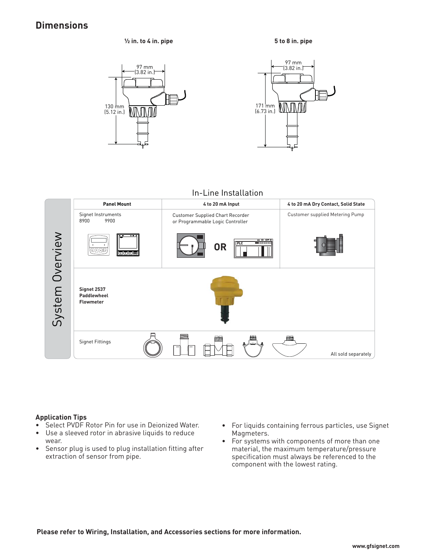### **Dimensions**

**½ in. to 4 in. pipe**







In-Line Installation



#### **Application Tips**

- Select PVDF Rotor Pin for use in Deionized Water.
- Use a sleeved rotor in abrasive liquids to reduce wear.
- Sensor plug is used to plug installation fitting after extraction of sensor from pipe.
- For liquids containing ferrous particles, use Signet Magmeters.
- For systems with components of more than one material, the maximum temperature/pressure specification must always be referenced to the component with the lowest rating.